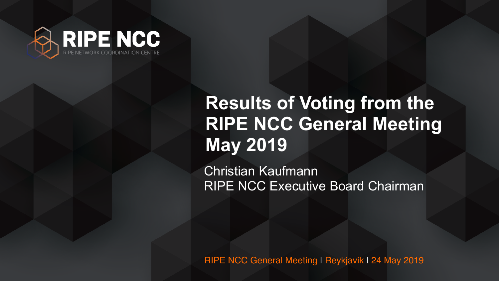

### Christian Kaufmann RIPE NCC Executive Board Chairman **Results of Voting from the RIPE NCC General Meeting May 2019**



RIPE NCC General Meeting | Reykjavik | 24 May 2019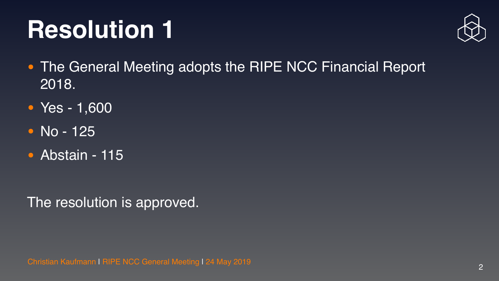





# **Resolution 1**

- The General Meeting adopts the RIPE NCC Financial Report 2018.
- Yes 1,600
- No 125
- Abstain 115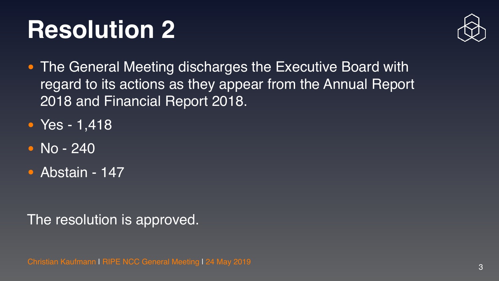



- The General Meeting discharges the Executive Board with regard to its actions as they appear from the Annual Report 2018 and Financial Report 2018.
- Yes 1,418
- No 240
- Abstain 147

# **Resolution 2**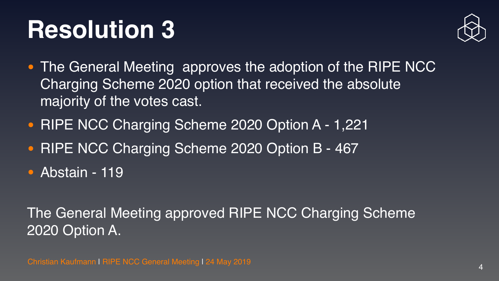

# **Resolution 3**

- The General Meeting approves the adoption of the RIPE NCC Charging Scheme 2020 option that received the absolute majority of the votes cast.
- RIPE NCC Charging Scheme 2020 Option A 1,221
- RIPE NCC Charging Scheme 2020 Option B 467
- Abstain 119

### The General Meeting approved RIPE NCC Charging Scheme 2020 Option A.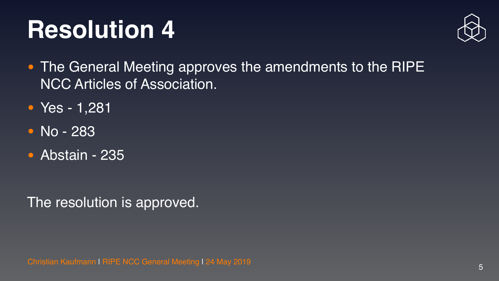



# **Resolution 4**

- **The General Meeting approves the amendments to the RIPE** NCC Articles of Association.
- Yes 1,281
- No 283
- Abstain 235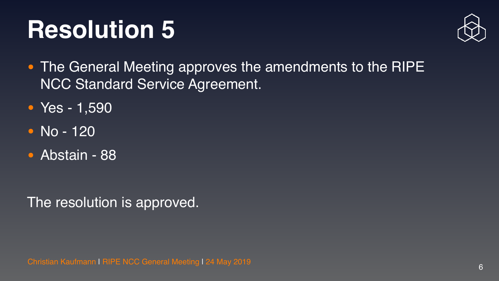





# **Resolution 5**

- **The General Meeting approves the amendments to the RIPE** NCC Standard Service Agreement.
- Yes 1,590
- No 120
- Abstain 88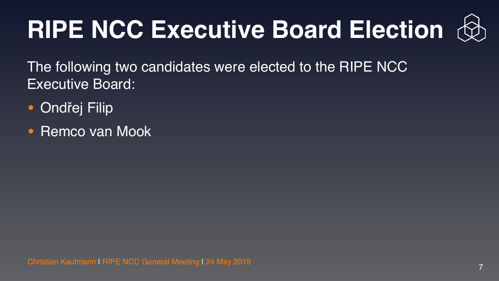



# **RIPE NCC Executive Board Election**

The following two candidates were elected to the RIPE NCC Executive Board:

- Ondřej Filip
- **Remco van Mook**